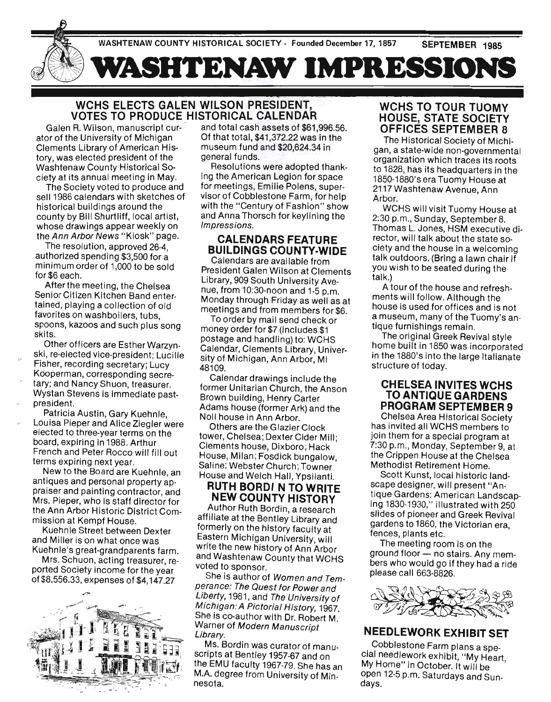

# WCHS ELECTS GALEN WILSON PRESIDENT, VOTES TO PRODUCE HISTORICAL CALENDAR

Galen R. Wilson, manuscript curator of the University of Michigan Clements Library of American History, was elected president of the Washtenaw County Historical Society at its annual meeting in May\_

The Society voted to produce and sell 1986 calendars with sketches of historical buildings around the county by Bill Shurtliff, local artist, whose drawings appear weekly on the Ann Arbor News "Kiosk" page.

The resolution, approved 26-4, authorized spending \$3,500 for a minimum order of 1,000 to be sold for \$6 each.

After the meeting, the Chelsea Senior Citizen Kitchen Band entertained, playing a collection of old favorites on washboilers, tubs, spoons, kazoos and such plus song skits.

Other officers are Esther Warzynski, re-elected vice-president; Lucille Fisher, recording secretary; Lucy Kdoperman, corresponding secretary; and Nancy Shuon, treasurer. Wystan Stevens is immediate pastpresident.

Patricia Austin, Gary Kuehnle, Louisa Pieper and Alice Ziegler were elected to three-year terms on the board, expiring in 1988. Arthur French and Peter Rocco will fill out terms expiring next year.

New to the Board are Kuehnle, an antiques and personal property appraiser and painting contractor, and Mrs. Pieper, who is staff director for the Ann Arbor Historic District Commission at Kempf House.

Kuehnle Street between Dexter and Miller is on what once was Kuehnle's great-grandparents farm.

Mrs. Schuon, acting treasurer, reported Society income for the year of \$8.556.33, expenses of \$4,147.27



and total cash assets of \$61,996.56. Of that total, \$41 ,372.22 was in the museum fund and \$20,624.34 in general funds.

Resolutions were adopted thanking the American Legion for space for meetings, Emilie Polens, supervisor of Cobblestone Farm, for help with the "Century of Fashion" show and Anna Thorsch for keylining the Impressions.

# CALENDARS FEATURE BUILDINGS COUNTY·WIDE

Calendars are available from President Galen Wilson at Clements Library, 909 South University Avenue, from 10:30-noon and 1-5 p.m. Monday through Friday as well as at meetings and from members for \$6.

To order by mail send check or money order for \$7 (includes \$1 postage and handling) to: WCHS Calendar, Clements Library, University of Michigan, Ann Arbor, MI 48109.

Calendar drawings include the former Unitarian Church, the Anson Brown building, Henry Carter Adams house (former Ark) and the Noll house in Ann Arbor.

Others are the Glazier Clock tower, Chelsea; Dexter Cider Mill; Clements house, Dixboro; Hack House, Milan; Fosdick bungalow, Saline; Webster Church; Towner House and Welch Hall, Ypsilanti.

# **RUTH BORDINTO WRITE** NEW COUNTY HISTORY

Author Ruth Bordin, a research affiliate at the Bentley Library and formerly on the history faculty at Eastern Michigan University, will write the new history of Ann Arbor and Washtenaw County that WCHS voted to sponsor.

She is author of Women and Temperance: The Quest for Power and Liberty, 1981, and The University of Michigan: A Pictorial History, 1967. She is co-author with Dr. Robert M. Warner of Modern Manuscript<br>Library.

Ms. Bordin was curator of manuscripts at Bentley 1957·67 and on the EMU faculty 1967-79. She has an M.A. degree from University of Minnesota.

# WCHS TO TOUR TUOMY HOUSE, STATE SOCIETY OFFICES SEPTEMBER 8

The Historical Society of Michigan, a state-wide non-governmental organization which traces its roots to 1828, has its headquarters in the 1850-1880's era Tuomy House at 2117 Washtenaw Avenue, Ann Arbor.

WCHS will visit Tuomy House at 2:30 p.m., Sunday, September8. Thomas L. Jones, HSM executive director, will talk about the state society and the house in a welcoming talk outdoors. (Bring a lawn chair if you wish to be seated during the talk.)

A tour of the house and refreshments will follow. Although the house is used for offices and is not a museum, many of the Tuomy's antique furnishings remain.

The original Greek Revival style home built in 1850 was incorporated in the 1880's into the large Italianate structure of today.

# CHELSEA INVITES WCHS TO ANTIQUE GARDENS PROGRAM SEPTEMBER 9

Chelsea Area Historical Society has invited all WCHS members to join them for a special program at 7:30 p.m., Monday, September 9, at the Crippen House at the Chelsea Methodist Retirement Home.

Scott Kunst, local historic landscape designer, will present "Antique Gardens: American Landscaping 1830-1930," illustrated with 250 slides of pioneer and Greek Revival gardens to 1860, the Victorian era, fences, plants etc.

The meeting room is on the ground floor - no stairs. Any members who would go if they had a ride please call 663-8826.



# NEEDLEWORK EXHIBIT SET

. Cobblestone Farm plans a spe-Cial needlework exhibit, "My Heart, My Home" in October. It will be open 12-5 p.m. Saturdays and Sundays.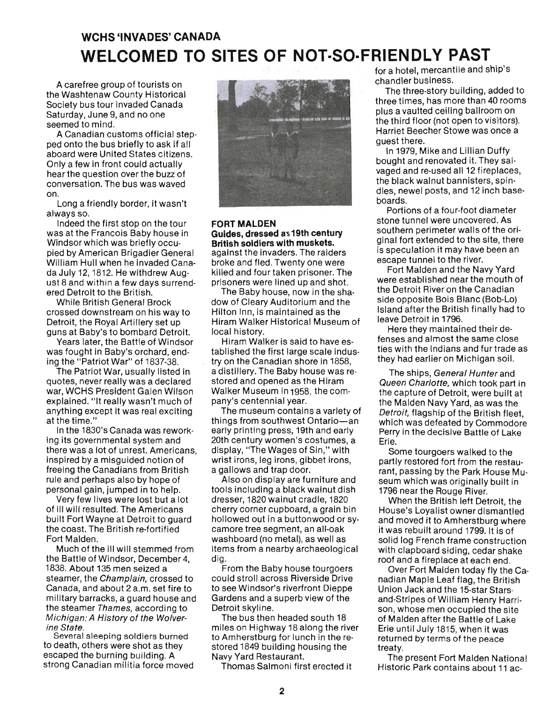# **WCHS 'INVADES' CANADA WELCOMED TO SITES OF NOT·SO·FRIENDLY PAST**

A carefree group of tourists on the Washtenaw County Historical Society bus tour invaded Canada Saturday, June 9, and no one seemed to mind.

A Canadian customs official stepped onto the bus briefly to ask if all aboard were United States citizens. Only a few in front could actually hear the question over the buzz of conversation. The bus was waved on.

Long a friendly border, it wasn't always so.

Indeed the first stop on the tour was at the Francois Baby house in Windsor which was briefly occupied by American Brigadier General William Hull when he invaded Canada July 12, 1812. He withdrew August 8 and within a few days surrendered Detroit to the British.

While British General Brock crossed downstream on his way to Detroit, the Royal Artillery set up guns at Baby's to bombard Detroit.

Years later, the Battle of Windsor was fought in Baby's orchard, ending the "Patriot War" of 1837-38.

The Patriot War, usually listed in quotes, never really was a declared war, WCHS President Galen Wilson explained. "It really wasn't much of anything except it was real exciting at the time."

In the 18.30's Canada was reworking its governmental system and there was a lot of unrest. Americans, inspired by a misguided notion of freeing the Canadians from British rule and perhaps also by hope of personal gain, jumped in to help.

Very few lives were lost but a lot of ill will resulted. The Americans built Fort Wayne at Detroit to guard the coast. The British re-fortified Fort Malden.

Much of the ill will stemmed from the Battle of Windsor, December 4, 1838. About 135 men seized a steamer, the Champlain, crossed to Canada, and about 2 a.m. set fire to military barracks, a guard house and the steamer Thames, according to Michigan: A History of the Wolverine State.

Several sleeping soldiers burned to death, others were shot as they escaped the burning building. A strong Canadian militia force moved



### FORT MALDEN Guides, dressed as 19th century **British soldiers with muskets.**  against the invaders. The raiders broke and fled. Twenty one were

killed and four taken prisoner. The prisoners were lined up and shot.

The Baby house, now in the shadow of Cleary Auditorium and the Hilton Inn, is maintained as the Hiram Walker Historical Museum of local history.

Hiram Walker is said to have established the first large scale industry on the Canadian shore in 1858, a distillery. The Baby house was restored and opened as the Hiram Walker Museum in 1958, the company's centennial year.

The museum contains a variety of things from southwest Ontario-an early printing press, 19th and early 20th century women's costumes, a display, "The Wages of Sin," with wrist irons, leg irons, gibbet irons, a gallows and trap door.

Also on display are furniture and tools including a black walnut dish dresser, 1820 walnut cradle, 1820 cherry corner cupboard, a grain bin hollowed out in a buttonwood or sycamore tree segment, an all-oak washboard (no metal), as well as items from a nearby archaeological dig.

From the Baby house tourgoers could stroll across Riverside Drive to see Windsor's riverfront Dieppe Gardens and a superb view of the Detroit skyline.

The bus then headed south 18 miles on Highway 18 along the river to Amherstburg for lunch in the restored 1849 building housing the Navy Yard Restaurant.

Thomas Salmoni first erected it

for a hotel, mercantile and ship's chandler business.

The three-story building, added to three times, has more than 40 rooms plus a vaulted ceiling ballroom on the third floor (not open to visitors). Harriet Beecher Stowe was once a guest there.

In 1979, Mike and Lillian Duffy bought and renovated it. They salvaged and re-used all 12 fireplaces, the black walnut bannisters, spindles, newel posts, and 12 inch baseboards.

Portions of a four-foot diameter stone tunnel were uncovered. As southern perimeter walls of the original fort extended to the site, there is speculation it may have been an escape tunnel to the river.

Fort Malden and the Navy Yard were established near the mouth of the Detroit River on the Canadian side opposite Bois Blanc (Bob-Lo) Island after the British finally had to leave Detroit in 1796.

Here they maintained their defenses and almost the same close ties with the Indians and fur trade as they had earlier on Michigan soil.

The ships, General Hunter and Queen Charlotte, which took part in the capture of Detroit, were built at the Malden Navy Yard, as was the Detroit, flagship of the British fleet, which was defeated by Commodore Perry in the decisive Battle of Lake Erie.

Some tourgoers walked to the partly restored fort from the restaurant, passing by the Park House Museum which was originally built in 1796 near the Rouge River.

When the British left Detroit, the House's Loyalist owner dismantled and moved it to Amherstburg where it was rebuilt around 1799. It is of solid log French frame construction with clapboard siding, cedar shake roof and a fireplace at each end.

Over Fort Malden today fly the Canadian Maple Leaf flag, the British Union Jack and the 15-star Starsand-Stripes of William Henry Harrison, whose men occupied the site of Malden after the Battle of Lake Erie until July 1815, when it was returned by terms of the peace treaty.

The present Fort Malden National Historic Park contains about 11 ac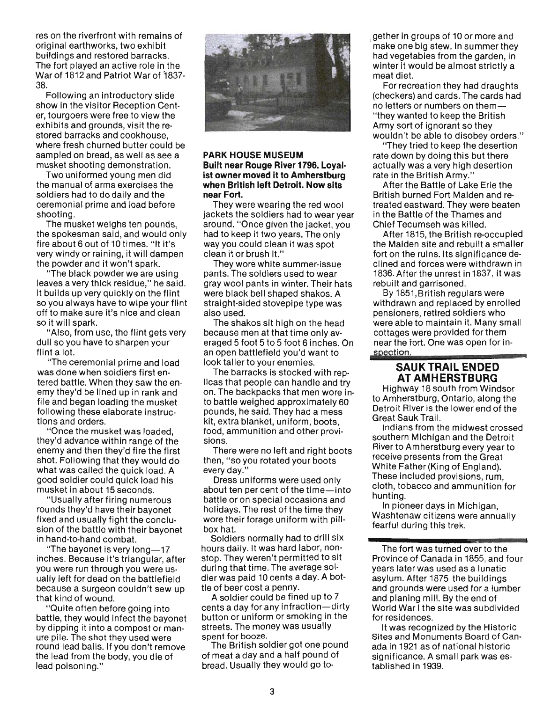res on the riverfront with remains of original earthworks, two exhibit buildings and restored barracks. The fort played an active role in the War of 1812 and Patriot War of 2007-י מו<br>^ Following an introductory slide

show in the visitor Reception Centshow in the visitor Reception Center, tourgoers were free to view the exhibits and grounds, visit the restilibits and grounds, visit the restored barracks and cookhouse,<br>where fresh churned butter could be sampled on bread, as well as see a musket shooting demonstration.

wet snooting demonstration. the manual of arms exercises the the manual of arms exercises the soldiers had to do daily and the ceremonial prime and load before siemomai<br>...ti The musket weighs ten pounds,

the musket weighs ten pounds, the spokesman said, and would only fire about 6 out of 10 times. "It it's very windy or raining, it will dampen<br>the powder and it won't spark. bowder and it won't spark.<br>Eks klask powder we are using

lift black powder we are using. aves a very trick residue, The said.<br>It is builds up very published the flint builds up very quickly on the film so you always have to wipe your flint off to make sure it's nice and clean<br>so it will spark.

"Also, from use, the flint gets very also, from use, the fifth gets ve iii su yuu l d IUL.<br>The ceremonial prime and load

was done when soldiers first enwas done when soldiers first en-<br>tered battle. When they saw the enered battle, writen they saw the en-<br>my thou'd be lined up in rank and file and began loading the muscle of file and began loading the musket following these elaborate instructions and orders. s and orders.<br>De ee the musket was loaded,

"Once the musket was loaded,<br>wided vance within range of the ey a advance within range or the shot. Following that they would do shot. Following that they would do what was called the quick load. A good soldier could quick load his musket in about 15 seconds. net in about 15 seconds.

round and ming numerous fixed and usually fight the conclu-<br>fixed and usually fight the conclused and usually fight the concluin hand-to-hand combat. ang-to-nang compat.<br>Eba bayonet is very long-147

. includion is very long— it.<br>Sebes. Because it's triangular, after inches. Because it's triangular, after<br>you were run through you were usually left for dead on the battlefield any left for dead on the battlefield ecause a surgeon c ning of wound.<br>Duite often before going into

battle, they would infect the bayonet battle, they would infect the bayonet by dipping it into a compost or manure pile. The shot they used were round lead bails. If you don't remove the lead from the body, you die of lead poisoning."



#### **PARK HOUSE MUSEUM Built near Rouge River 1796. Loyal· ist owner moved it to Amherstburg ist owner moved it to Amherstburg** when British left Detroit. Now sits near Fort. I FOIL.<br>Few were weering the red wool

iney were wearing the red wool crets the soluters had to wear year.<br>"Sund, "Once given the isolations" bund. Once given the jacket, you au to keep it two years. The only ay you could clean n They world world was a summer-insurance world was a summer-insurance world was a substance world was a summer <br>In the contract world was a summer summer and such a summer summer summer and such a summer summer summer summ

parts. The soldiers used to weare grius. The soluters used to wear<br>would almost in winter. Their hats ay woor pants in winter. Their nats were black bell shaped shakos. A straight-sided stovepipe type was<br>also used. The shake sit high on the head of

because men at that time only averaged 5 foot 5 to 5 foot 6 inches. On an open battlefield you'd want to an open battlefield you'd want to<br>look taller to your enemies.

The barracks is stocked with replicalization to succident with repcas mai people can hangle and tryto the backpacks mat men wore in-<br>battle weighed approximately 60 pounds, weighed approximately bu pounds, he said. They had a mess<br>kit, extra blanket, uniform, boots, food, extra planket, uniform, poots, ioù, ari IS.<br>Eese were no left and right boots

there were no left and right boots then, "so you rotated your boots<br>every day."

Dress uniforms were used only press uniforms were used only bout temper cent of the time—into<br>ettle or on special occasions and battle or on special occasions and holidays. The rest of the time they wore their forage uniform with pill-<br>box hat. Soldiers normally had to drill six

Soldiers normally had to drill six hours daily. It was hard labor, nonstop. They weren't permitted to sit during that time. The average soldier was paid 10 cents a day. A bot-<br>tle of beer cost a penny. A soldier could be fined up to 7

A Soldier could be fined up to 7 cents a day for any infraction-dirty button or uniform or smoking in the streets. The money was usually spent for booze. nt for booze.<br>he British soldier got one pound

of meat a day and a half pound of of meat a day and a half pound of<br>bread. Usually they would go together in groups of 10 or more and make one big stew. In summer they had viewels stew. In Summer they had vegetables from the garden, in winter it would be almost strictly a<br>meat diet.

For recreation they had draughts (checkers) and cards. The cards had neckers) and cards. The cards **i** "they wanted to keep the British They wanted to keep the British my sort of ignorant so they<br>wilde?! be able to disobey orders." turit be able to disobey orders.

ring theu to keep the desertion ale down by doing this but there.<br>In a living a very high desertion actually was a very high desertion<br>rate in the British Army."

After the Battle of Lake Erie the British burned Fort Malden and retrusti burned Fort Malden and leealed eastward. They were beat in the Battle of the Thames and<br>Chief Tecumseh was killed.

After 1815, the British re-occupied the Malden site and rebuilt a smaller fort on the ruins. Its significance declined and forces were withdrawn in ined and forces were withdrawn in 1836. After the unrest in 1837, it was rebuilt and garrisoned. By 1861 gamsoned.<br>British regulars were

withdrawn anq replaced by enrolled withdrawn and replaced by enrolled pensioners, retired soldiers who were able to maintain it. Many small<br>cottages were provided for them neages were provided for them. spection.

#### **SAUK TRAIL ENDED AT AMHERSTBURG**  Highway 18 south from Windsor

th Amherstburg, Ontario, along the ... to Amherstburg, Ontario, along the Detroit River is the lower end of the<br>Great Sauk Trail. Indians from the midwest crossed

southern Michigan and the Detroit southern Michigan and the Detroit River to Amherstburg every year to receive presents from the Great White Father (King of England). These included provisions, rum. cloth, tobacco and ammunition for<br>hunting.

In pioneer days in Michigan, was in proneer days in ivilchigan,<br>feebber wurdt in de annually in 1990 rashtenaw citizens were

The fort was turned over to the Province of Canada in 1855, and four Province of Canada in 1855, and four years later was used as a lunatic<br>asylum. After 1875 the buildings and grounds were used for a lumber.<br>Sylumber used were used for a lumber and planing mill. By the end of In planing min, by the end of<br>fedd Wedd the site was subdivided forio vvar i the s It was recognized by the Historic

It was recognized by the Historic Sites and Monuments Board of Canada in 1921 as of national historic significance. A small park was established in 1939.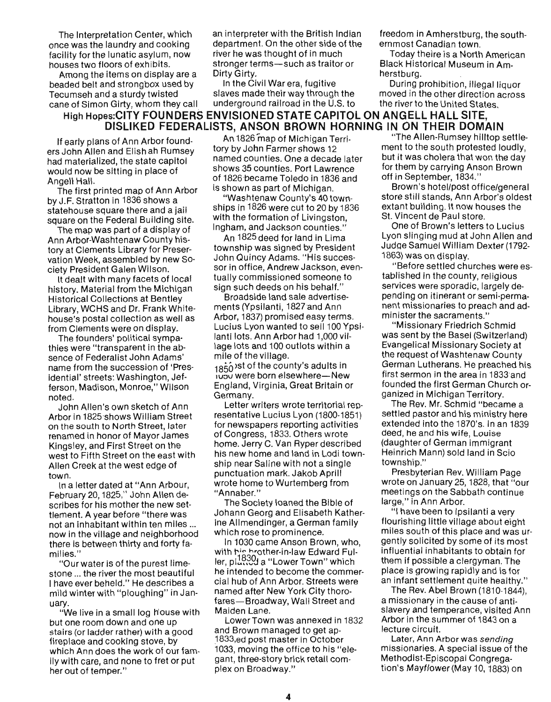Among the items on display are a Dirty Girty.<br>In the Civil War era, fugitive Deaded belt and strongbox used by The Diring Pilvar era, fugitive beaded belt and strongbox used by ln the Civil War era, fugitive buring prohibition, illegal liquor<br>Tecumseh and a sturdy twisted slaves made their way through the moved in the other direction across

The Interpretation Center, which an interpreter with the British Indian freedom in Amherstburg, the south-The Interpretation Center, which an interpreter with the British Indian freedom in Amherstburg, the south-<br>once was the laundry and cooking department. On the other side of the ernmost Canadian town. once was the laundry and cooking department. On the other side of the facility for the lunatic asylum, now river he was thought of in much facility for the lunatic asylum, now river he was thought of in much Today theire is a North American<br>houses two floors of exhibits. stronger terms—such as traitor or Black Historical Museum in Amstronger terms—such as traitor or Black Hist<br>Dirty Girty. herstburg.

# **High Hopes: CITY, whom they call and derground ratifoad in the U.S. to the fiver to the United States.**<br>A second of the City Found Foot Functoning of AFF OADITOL ON ANOFHALLY LILL OF T **DISLIKED FEDERALISTS, ANSON BROWN HORNING IN ON THEIR DOMAIN**  DISLINED FEDENALISTS, ANSUN BRUWN NURIN

If early plans of Ann Arbor founders John Allen and Elish ah Rumsey had materialized, the state capitol would now be sitting in place of Angell Hall.

The first printed map of Ann Arbor by J.F. Stratton in 1836 shows a statehouse square there and a jail square on the Federal Building site.

The map was part of a display of Ann Arbor-Washtenaw County history at Clements Library for Preservation Week, assembled by new Society President Galen Wilson.

It dealt with many facets of local history. Material from the Michigan **Historical Collections at Bentley** Library, WCHS and Dr. Frank Whitehouse's postal collection as well as from Clements were on display.

The founders' political sympathies were "transparent in the absence of Federalist John Adams' name from the succession of 'Presidential' streets: Washington, Jefferson, Madison, Monroe," Wilson John Allen's own sketch of Ann

John Allen's own sketch of Ann Arbor in 1825 shows William Street on the south to North Street, later renamed in honor of Mayor James Kingsley, and First Street on the west to Fifth Street on the east with Allen Creek at the west edge of In a letter dated at "Ann Arbour,

In a letter dated at "Ann Arbour, February 20, 1825," John Allen describes for his mother the new settlement. A year before "there was not an inhabitant within ten miles ... now in the village and neighborhood there is between thirty and forty fa- $\mathbf{S}$ ." $\mathbf{S}$ 

"Our water is of the purest limestone ... the river the most beautiful I have ever beheld." He describes a mild winter with "ploughing" in Jan- $W$  in a small log house with a small log h

"We live in a small log house with but one room down and one up stairs (or ladder rather) with a good fireplace and cooking stove, by which Ann does the work of our family with care, and none to fret or put her out of temper."

An 1826 map of Michigan Territory by John Farmer shows 12 named counties. One a decade later shows 35 counties. Port Lawrence of 1826 became Toledo in 1836 and is shown as part of Michigan.

"Washtenaw County's 40 townships in 1826 were cut to 20 by 1836 with the formation of Livingston, Ingham, and Jackson counties."

An 1825 deed for land in Lima township was signed by President John Quincy Adams. "His successor in office, Andrew Jackson, eventually commissioned someone to sign such deeds on his behalf."

Broadside land sale advertisements (Ypsilanti, 1827 and Ann Arbor, 1837) promised easy terms. Lucius Lyon wanted to sell 100 Ypsilanti lots. Ann Arbor had 1,000 village lots and 100 outlots within a mile of the village.

 $1850$  ist of the county's adults in ivov were born elsewhere-New England, Virginia, Great Britain or<br>Germany.  $\lambda$ 

Letter writers wrote territorial representative Lucius Lyon (1800-1851) for newspapers reporting activities of Congress, 1833. Others wrote home. Jerry C. Van Ryper described his new home and land in Lodi township near Saline with not a single. punctuation mark. Jakob Aprill wrote home to Wurtemberg from "Annaber."

The Society loaned the Bible of Johann Georg and Elisabeth Katherine Allmendinger, a German family which rose to prominence.

In 1030 came Anson Brown, who, with his brother-in-law Edward Ful- $\lim_{n \to \infty} 1830$  a "Lower Town" which he intended to become the commercial hub of Ann Arbor. Streets were named after New York City thorofares-Broadway, Wall Street and Maiden Lane.

Lower Town was annexed in 1832 and Brown managed to get ap-1833, ed post master in October 1033, moving the office to his "elegant, three-story brick retail complex on Broadway."

Tecumseh and a sturdy twisted slaves made their way through the moved in the other direction across cane of Simon Girty, whom they call underground railroad in the U.S. to the river to the United States.

UN THEIR DUWAIN  $\frac{m}{\sqrt{2}}$  ment  $\frac{m}{\sqrt{2}}$  ment to the south protests due to the south  $\frac{m}{\sqrt{2}}$ ment to the south protested loudly. but it was cholera that won the day for them by carrying Anson Brown off in September, 1834."

Brown's hotel/post office/general store still stands. Ann Arbor's oldest extant building. It now houses the<br>St. Vincent de Paul store. ncent de Paul Store.<br>Control de Lucius

Une of Brown slietters to Lucius Lyon slinging mud at John Allen and Judge Samuel William Dexter (1792-<br>1863) was on display.  $\mathsf{was}\,\mathsf{on}\,\mathsf{display}.$ 

"Before settled churches were es tablished in the county, religious services were sporadic, largely depending on itinerant or semi-permanent missionaries to preach and administer the sacraments."

"Missionary Friedrich Schmid was sent by the Basel (Switzerland) Evangelical Missionary Society at the request of Washtenaw County **German Lutherans. He preached his first sermon in the area in 1833 and**  $\frac{1}{2}$  sermon in the area in 1833 and unged the first German Church ganized in Michigan Territory.

The Rev. Mr. Schmid "became a settled pastor and his ministry here extended into the 1870's. In an 1839 deed, he and his wife, Louise (daughter of German immigrant Heinrich Mann) sold land in Scio<br>township."  $\mathsf{supp}$ .  $\mathsf{P} = \mathsf{min} \mathsf{P}$ 

Presbyterian Hev. William Page wrote on January 25, 1828, that "our meetings on the Sabbath continue<br>large," in Ann Arbor.  $\mathbb{R}^n$  in Ann Arbor.

 $\alpha$  have been to ipsilanti a very  $\alpha$ flourishing little village about eight miles south of this place and was urgently solicited by some of its most influential inhabitants to obtain for them if possible a clergyman. The place is growing rapidly and is for an infant settlement quite healthy."

The Rev. Abel Brown (1810-1844), a missionary in the cause of antislavery and temperance, visited Ann Arbor in the summer of 1843 on a<br>lecture circuit. Later,  $\alpha$  and  $\alpha$  arbor was sending  $\alpha$ 

Later, Ann Arbor was *sending*<br>issue of the theory missionaries. A special issue of the Methodist-Episcopal Congrega-<br>tion's *Mayflower* (May 10, 1883) on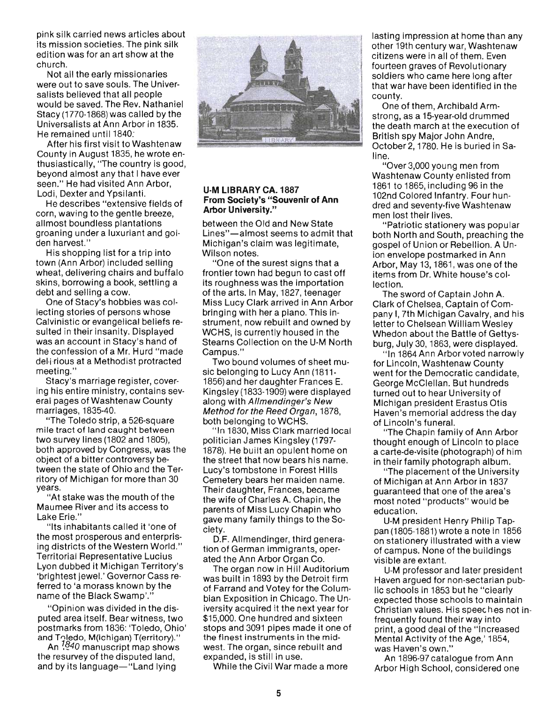pink silk carried news articles about its mission societies. The pink silk edition was for an art show at the church.

Not all the early missionaries were out to save souls. The Universalists believed that all people would be saved. The Rev. Nathaniel Stacy (1770-1868) was called by the Universalists at Ann Arbor in 1835. He remained until 1840:

After his first visit to Washtenaw County in August 1835, he wrote enthusiastically, "The country is good, beyond almost any that I have ever seen." He had visited Ann Arbor, Lodi, Dexter and Ypsilanti.

He describes "extensive fields of corn, waving to the gentle breeze, allmost boundless plantations groaning under a luxuriant and golden harvest."

His shopping list for a trip into town (Ann Arbor) included selling wheat, delivering chairs and buffalo skins, borrowing a book, settling a debt and selling a cow.

One of Stacy's hobbies was collecting stories of persons whose Calvinistic or evangelical beliefs resulted in their insanity. Displayed was an account in Stacy's hand of the confession of a Mr. Hurd "made del'i rious at a Methodist protracted meeting."

Stacy's marriage register, covering his entire ministry, contains several pages of Washtenaw County marriages, 1835-40.

"The Toledo strip, a 526-square mile tract of land caught between two survey lines (1802 and 1805), both approved by Congress, was the object of a bitter controversy between the state of Ohio and the Territory of Michigan for more than 30 years.

"At stake was the mouth of the Maumee River and its access to Lake Erie."

"Its inhabitants called it 'one of the most prosperous and enterprising districts of the Western World." Territorial Representative Lucius Lyon dubbed it Michigan Territory's 'brightest jewel.' Governor Cass referred to 'a morass known by the name of the Black Swamp'."

"Opinion was divided in the disputed area itself. Bear witness, two postmarks from 1836: 'Toledo, Ohio' and Toledo, M(ichigan) T(erritory)."

An <sup>7840</sup> manuscript map shows the resurvey of the disputed land, and by its language-"Land lying



#### **U·M LIBRARY CA. 1887 From Society's "Souvenir of Ann Arbor University."**

between the Old and New State Lines"-almost seems to admit that Michigan's claim was legitimate. Wilson notes.

"One of the surest signs that a frontier town had begun to cast off its roughness was the importation of the arts. In May, 1827, teenager Miss Lucy Clark arrived in Ann Arbor bringing with her a piano. This instrument, now rebuilt and owned by WCHS, is currently housed in the Stearns Collection on the U-M North Campus."

Two bound volumes of sheet music belonging to Lucy Ann (1811-1856) and her daughter Frances E. Kingsley (1833-1909) were displayed along with Allmendinger's New Method for the Reed Organ, 1878, both belonging to WCHS.

" In 1830, Miss Clark married local politician James Kingsley (1797- 1878). He built an opulent home on the street that now bears his name. Lucy's tombstone in Forest Hills Cemetery bears her maiden name. Their daughter, Frances, became the wife of Charles A. Chapin, the parents of Miss Lucy Chapin who gave many family things to the Society.

D.F. Allmendinger, third generation of German immigrants, operated the Ann Arbor Organ Co.

The organ now in Hill Auditorium was built in 1893 by the Detroit firm of Farrand and Votey for the Columbian Exposition in Chicago. The University acquired it the next year for \$15,000. One hundred and sixteen stops and 3091 pipes made it one of the finest instruments in the mid· west. The organ, since rebuilt and expanded, is still in use.

While the Civil War made a more

lasting impression at home than any other 19th century war, Washtenaw citizens were in all of them. Even fourteen graves of Revolutionary soldiers who came here long after that war have been identified in the county.

One of them, Archibald Armstrong, as a 15-year-old drummed the death march at the execution of British spy Major John Andre, October 2, 1780. He is buried in Saline.

"Over 3,000 young men from Washtenaw County enlisted from 1861 to 1865, including 96 in the 102nd Colored Infantry. Four hundred and seventy-five Washtenaw men lost their lives.

"Patriotic stationery was popular both North and South, preaching the gospel of Union or Rebellion. A Union envelope postmarked in Ann Arbor, May 13, 1861, was one of the items from Dr. White house's collection.

The sword of Captain John A. Clark of Chelsea, Captain of Company I, 7th Michigan Cavalry, and his letter to Chelsean William Wesley Whedon about the Battle of Gettysburg, July 30, 1863, were displayed.

" In 1864Ann Arbor voted narrowly for Lincoln, Washtenaw County went for the Democratic candidate, George McClellan. But hundreds turned out to hear University of Michigan president Erastus Otis Haven's memorial address the day of Lincoln's funeral.

"The Chapin family of Ann Arbor thought enough of Lincoln to place a carte-de-visite (photograph) of him in their family photograph album.

"The placement of the University of Michigan at Ann Arbor in 1837 guaranteed that one of the area's most noted "products" would be education.

U-M president Henry Philip Tappan (1805-1881 ) wrote a note in 1856 on stationery illustrated with a view of campus. None of the buildings visible are extant.

U-M professor and later president Haven argued for non-sectarian public schools in 1853 but he "clearly expected those schools to maintain Christian values. His speech;es not infrequently found their way into print, a good deal of the " Increased Mental Activity of the Age,' 1854, was Haven's own."

An 1896-97 catalogue from Ann Arbor High School, considered one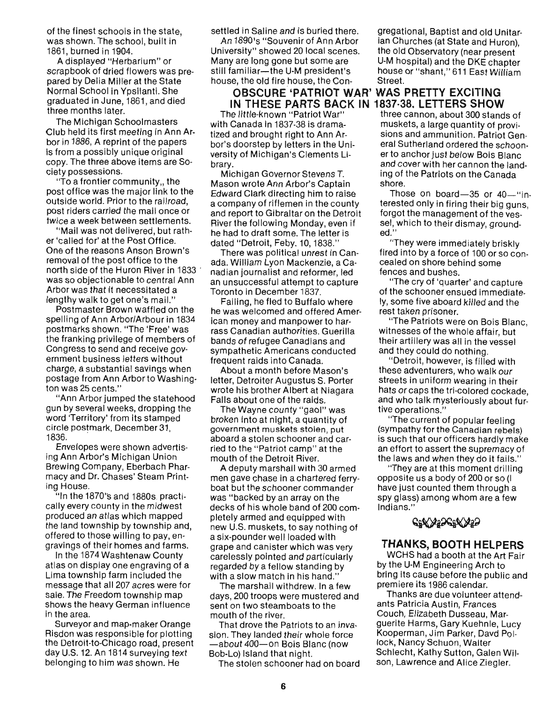of the finest schools in the state, was shown. The school, built in 1861, burned in 1904.

A displayed "Herbarium" or scrapbook of dried flowers was prepared by Delia Miller at the State Normal School in Ypsilanti. She graduated in June, 1861, and died three months later.

The Michigan Schoolmasters Club held its first meeting in Ann Arbor in 1886, A reprint of the papers is from a possibly unique original copy. The three above items are Society possessions.

"To a frontier community,, the post office was the major link to the outside world. Prior to the railroad, post riders carried the mail once or twice a week between settlements.

"Mail was not delivered, but rather 'called for' at the Post Office. One of the reasons Anson Brown's removal of the post office to the north side of the Huron River in 1833 . was so objectionable to central Ann Arbor was that it necessitated a lengthy walk to get one's mail.'

Postmaster Brown waffled on the spelling of Ann Arbor/Arbour in 1834 postmarks shown. "The 'Free' was the franking privilege of members of Congress to send and receive government business letters without charge, a substantial savings when postage from Ann Arbor to Washington was 25 cents."

"Ann Arbor jumped the statehood gun by several weeks, dropping the word 'Territory' from its stamped circle postmark, December 31,<br>1836.

Envelopes were shown advertising Ann Arbor's Michigan Union Brewing Company, Eberbach Pharmacy and Dr. Chases' Steam Printing House.

"In the 1870's and 1880s, practically every county in the midwest produced an atlas which mapped the land township by township and, offered to those willing to pay, engravings of their homes and farms.

In the 1874 Washtenaw County atlas on display one engraving of a Lima township farm included the message that all 207 acres were for sale. The Freedom township map shows the heavy German influence in the area.

Surveyor and map-maker Orange Risdon was responsible for plotting the Detroit-to-Chicago road, present day U.S. 12. An 1814 surveying text belonging to him was shown. He

An 1890's "Souvenir of Ann Arbor University" showed 20 local scenes. the old Observatory (near present Many are long gone but some are U-M hospital) and the DKE chapter still familiar-the U-M president's house or "shant," 611 East William house, the old fire house, the Con- Street.

# **OBSCURE' 'PATRIOT WAR' WAS PRETTY EXCITING IN THESE PARTS BACK IN 1837·38, LETTERS SHOW**

The little-known "Patriot War" with Canada in 1837·38 is dramatized and brought right to Ann Arbor's doorstep by letters in the University of Michigan's Clements Library.

Michigan Governor Stevens T. Mason wrote Ann Arbor's Captain Edward Clark directing him to raise a company of riflemen in the county and report to Gibraltar on the Detroit River the following Monday, even if he had to draft some. The letter is dated "Detroit, Feby. 10, 1838."

There was political unrest in Canada. William Lyon Mackenzie, a Canadian journalist and reformer, led an unsuccessful attempt to capture Toronto in December 1837.

Failing, he fled to Buffalo where he was welcomed and offered American money and manpower to harrass Canadian authorities. Guerilla bands of refugee Canadians and sympathetic Americans conducted frequent raids into Canada.

About a month before Mason's letter, Detroiter Augustus S. Porter wrote his brother Albert at Niagara Falls about one of the raids.

The Wayne county "gaol" was broken into at night, a quantity of government muskets stolen, put aboard a stolen schooner and carried to the "Patriot camp" at the mouth of the Detroit River.

A deputy marshall with 30 armed men gave chase in a chartered ferryboat but the schooner commander was "backed by an array on the decks of his whole band of 200 completely armed and equipped with new U.S. muskets, to say nothing of a six-pounder well loaded with grape and canister which was very carelessly pointed and particularly regarded by a fellow standing by with a slow match in his hand."

The marshall withdrew. In a few days, 200 troops were mustered and sent on two steamboats to the mouth of the river.

That drove the Patriots to an invasion. They landed their whole force -about 400-on Bois Blanc (now Bob-Lo) Island that night.

The stolen schooner had on board

settled in Saline and is buried there. gregational, Baptist and old Unitarian Churches (at State and Huron),

three cannon, about 300 stands of muskets, a large quantity of provisions and ammunition. Patriot General Sutherland ordered the schooner to anchor just below Bois Blanc and cover with her cannon the landing of the Patriots on the Canada shore.

Those on board- $35$  or  $40$ -"interested only in firing their big guns, forgot the management of the vessel, which to their dismay, grounded."

"They were immediately briskly fired into by a force of 100 or so concealed on shore behind some fences and bushes.

"The cry of 'quarter' and capture of the schooner ensued immediately, some five aboard killed and the rest taken prisoner.

"The Patriots were on Bois Blanc, witnesses of the whole affair, but their artillery was all in the vessel and they could do nothing.

"Detroit, however, is filled with these adventurers, who walk our streets in uniform wearing in their hats or caps the tri-colored cockade, and who talk mysteriously about furtive operations."

"The current of popular feeling (sympathy for the Canadian rebels) is such that our officers hardly make an effort to assert the supremacy of the laws and when they do it fails."

''They are at this moment drilling opposite us a body of 200 or so (I have just counted them through a spy glass) among whom are a few Indians." are at the moment arising<br>us a body of 200 or so (I<br>counted them through a<br>i) among whom are a few

# **THANKS, BOOTH HELPERS**

WCHS had a booth at the Art Fair by the U-M Engineering Arch to bring its cause before the public and premiere its 1986 calendar.

Thanks are due volunteer attendants Patricia Austin, Frances Couch, Elizabeth Dusseau, Marguerite Harms, Gary Kuehnle, Lucy Kooperman, Jim Parker, Davd Pollock, Nancy Schuon, Walter Schlecht, Kathy Sutton, Galen Wilson, Lawrence and Alice Ziegler.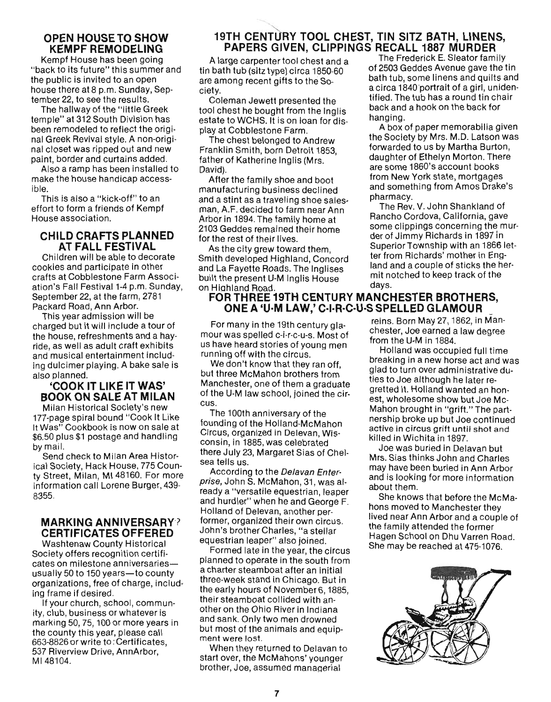# **OPEN HOUSE TO SHOW KEMPF REMODELING**

Kempf House has been going "back to its future" this summer and the public is invited to an open house there at 8 p.m. Sunday, September 22, to see the results.

The hallway of the "little Greek temple" at 312 South Division has been remodeled to reflect the original Greek Revival style. A non-original closet was ripped out and new paint, border and curtains added.

Also a ramp has been installed to misu a ramp has been mistaned to iane.<br>Le ible.<br>This is also a "kick-off" to an

effort to form a friends of Kempf House association.

# **CHILD CRAFTS PLANNED AT FALL FESTIVAL**

Children will be able to decorate cookies and participate in other crafts at Cobblestone Farm Association's Fall Festival 1-4 p.m. Sunday, September 22, at the farm, 2781 Packard Road, Ann Arbor.

This year admission will be charged but it will include a tour of the house, refreshments and a hayride, as well as adult craft exhibits and musical entertainment including dulcimer playing. A bake sale is also planned.

# **'COOK IT LIKE IT WAS' BOOK ON SALE AT MILAN**

Milan Historical Society's new 177-page spiral bound "Cook It Like It Was" Cookbook is now on sale at t was COONDOON is now on said at pu. Ju piu<br>... mail

by mail.<br>Send check to Milan Area Historical Society, Hack House, 775 County Street, Milan, MI 48160. For more information call Lorene Burger, 439- 8355.

# **MARKING ANNIVERSARY? CERTIFICATES OFFERED**

Washtenaw County Historical **Society offers recognition certifi-**Society offers recognition certifi-<br>estos en milestone anniversaries--cates on milestone anniversaries----<br>usually 50 to 150 years-to county organizations, free of charge, including frame if desired. I Hallic II desiled.<br>If your church, school, commun

ity, club, business or whatever is ity, club, business or whatever is<br>marking 50, 75, 100 or more years in the county this year, please call the county this year, please can<br>662.8826 or write to: Certificates, 663-8826 or write to: Certificates, 537 Riverview Drive, AnnArbor,<br>MI 48104.

# **19TH CENTURY TOOL CHEST, TIN SITZ BATH, LINENS, PAPERS GIVEN, CLIPPINGS RECALL 1887 MURDER**

tin bath tub (sitz type) circa 1850-60 of 2503 Geddes Avenue gave the tin are among recent gifts to the So-<br>bath tub, some linens and quilts and a circa 1840 portrait of a girl, uniden-<br>ciety.

Coleman bewerf presented the<br>tool chest he bought from the Inglis back and a hook on the back for estate to WCHS. It is on loan for display at Cobblestone Farm. A box of paper memorabilia given

are some 1860's account books<br>David).

manufacturing business declined and something from Amos Drake's and a stint as a traveling shoe sales-<br>pharmacy. man, A.F. decided to farm near Ann The Rev. V. John Shankland of Arbor in 1894. The family home at Rancho Cordova, California, gave 2103 Geddes remained their home some clippings concerning the murfor the rest of their lives. der of Jimmy Richards in 1897 in

Smith developed Highland, Concord ter from Richards' mother in Engand La Fayette Roads. The Inglises land and a couple of sticks the herbuilt the present U-M Inglis House Thit III<br>on Highland Road. days.

# FOR THREE **19TH CENTURY MANCHESTER BROTHERS, ONE A 'U-M LAW,' C-I-R-C-U-S SPELLED GLAMOUR**

For many in the 19th century glamour was spelled c-i-r-c-u-s. Most of us have heard stories of young men running off with the circus.

We don't know that they ran off. but three McMahon brothers from Manchester, one of them a graduate of the U-M law school, joined the circus.

The 100th anniversary of the founding of the Hoiland-McMahon Circus, organized in Delevan, Wisconsin, in 1885, was celebrated there July 23, Margaret Sias of Chelsea tells us.

According to the Delavan Enterprise, John S. McMahon, 31, was already a "versatile equestrian, leaper and hurdler" when he and George F. Holland of Delevan, another performer, organized their own circus. John's brother Charles, "a stellar equestrian leaper" also joined.

Formed late in the year, the circus planned to operate in the south from a charter steamboat after an initial three-week stand in Chicago. But in the early hours of November 6, 1885, their steamboat collided with another on the Ohio River in Indiana and sank. Only two men drowned but most of the animals and equip- ment were lost.

When they returned to Delavan to start over, the McMahons' younger brother, Joe, assumed manaaerial

A large carpenter tool chest and a The Frederick E. Sleator family  $\frac{1}{2}$ . Coleman Jewett presented the tified. The tub has a round tin chair

The chest belonged to Andrew the Society by Mrs. M.D. Latson was Franklin Smith, born Detroit 1853. Franklin Smith, born Detroit 1853. Framminghini, born betton 1899,<br>father of Katherine Inglis (Mrs. daughter of Ethelyn Morton. There After the family shoe and boot from New York state, mortgages

As the city grew toward them, Superior Township with an 1866 let-<br>As the city grew toward them, mit notched to keep track of the

> reins. Born May 27, 1862, in Manchester, Joe earned a law degree from the U-M in 1884.

Holland was occupied full time breaking in a new horse act and was glad to turn over administrative duties to Joe although he later regretted it. Holland wanted an honest, wholesome show but Joe Mc-Mahon brought in "grift." The partnership broke up but Joe continued active in circus grift until shot and killed in Wichita in 1897.

Joe was buried in Delavan but Mrs. Sias thinks John and Charles may have been buried in Ann Arbor and is looking for more information about them.

She knows that before the McMahons moved to Manchester they lived near Ann Arbor and a couple of the family attended the former Hagen School on Dhu Varren Road. She may be reached at 475-1076.